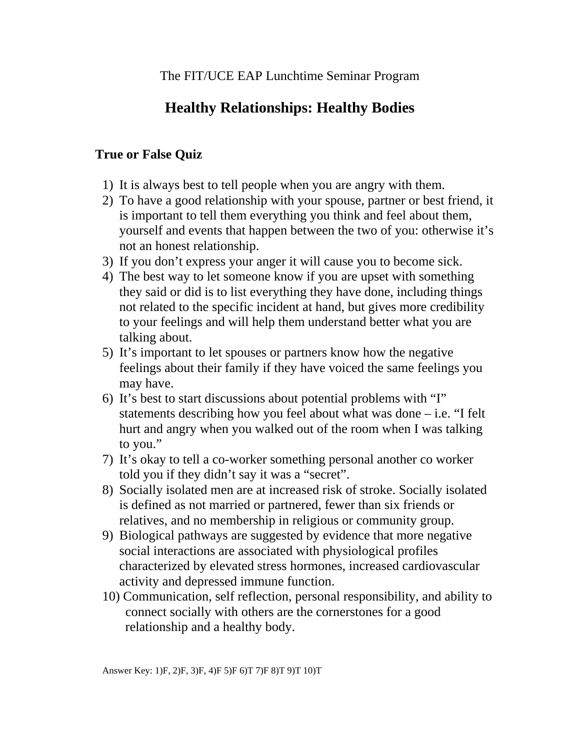## **Healthy Relationships: Healthy Bodies**

## **True or False Quiz**

- 1) It is always best to tell people when you are angry with them.
- 2) To have a good relationship with your spouse, partner or best friend, it is important to tell them everything you think and feel about them, yourself and events that happen between the two of you: otherwise it's not an honest relationship.
- 3) If you don't express your anger it will cause you to become sick.
- 4) The best way to let someone know if you are upset with something they said or did is to list everything they have done, including things not related to the specific incident at hand, but gives more credibility to your feelings and will help them understand better what you are talking about.
- 5) It's important to let spouses or partners know how the negative feelings about their family if they have voiced the same feelings you may have.
- 6) It's best to start discussions about potential problems with "I" statements describing how you feel about what was done – i.e. "I felt hurt and angry when you walked out of the room when I was talking to you."
- 7) It's okay to tell a co-worker something personal another co worker told you if they didn't say it was a "secret".
- 8) Socially isolated men are at increased risk of stroke. Socially isolated is defined as not married or partnered, fewer than six friends or relatives, and no membership in religious or community group.
- 9) Biological pathways are suggested by evidence that more negative social interactions are associated with physiological profiles characterized by elevated stress hormones, increased cardiovascular activity and depressed immune function.
- 10) Communication, self reflection, personal responsibility, and ability to connect socially with others are the cornerstones for a good relationship and a healthy body.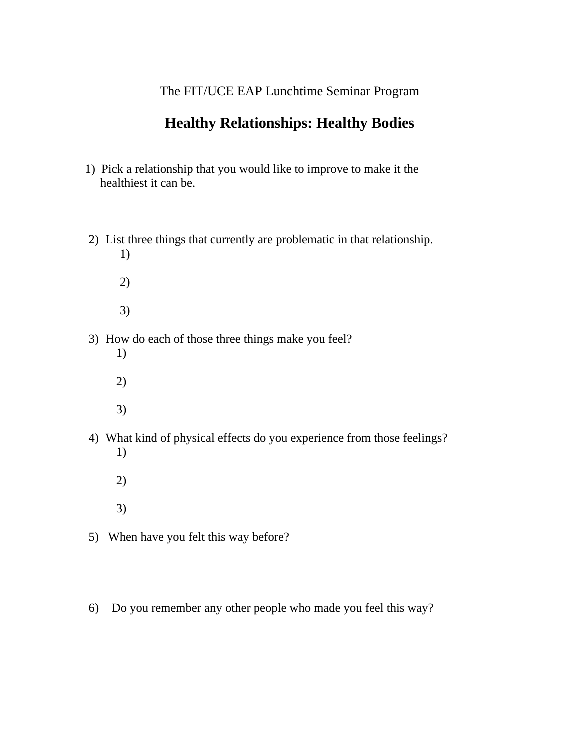## The FIT/UCE EAP Lunchtime Seminar Program

## **Healthy Relationships: Healthy Bodies**

- 1) Pick a relationship that you would like to improve to make it the healthiest it can be.
- 2) List three things that currently are problematic in that relationship. 1)
	- 2) 3)
- 3) How do each of those three things make you feel?
	- 1) 2) 3)
- 4) What kind of physical effects do you experience from those feelings? 1)
	- 2) 3)
- 5) When have you felt this way before?
- 6) Do you remember any other people who made you feel this way?